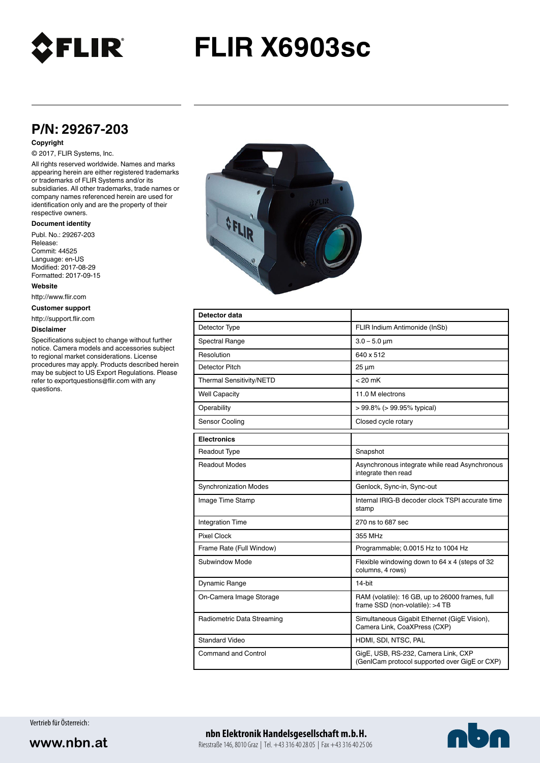

# **FLIR X6903sc**

# **P/N: 29267-203**

#### **Copyright**

## © 2017, FLIR Systems, Inc.

All rights reserved worldwide. Names and marks appearing herein are either registered trademarks or trademarks of FLIR Systems and/or its subsidiaries. All other trademarks, trade names or company names referenced herein are used for identification only and are the property of their respective owners.

#### **Document identity**

Publ. No.: 29267-203 Release: Commit: 44525 Language: en-US Modified: 2017-08-29 Formatted: 2017-09-15

**Website**

http://www.flir.com

**Customer support**

http://support.flir.com

#### **Disclaimer**

Specifications subject to change without further notice. Camera models and accessories subject to regional market considerations. License procedures may apply. Products described herein may be subject to US Export Regulations. Please refer to exportquestions@flir.com with any questions.



| Detector data                |                                                                                      |
|------------------------------|--------------------------------------------------------------------------------------|
| Detector Type                | FLIR Indium Antimonide (InSb)                                                        |
| Spectral Range               | $3.0 - 5.0 \mu m$                                                                    |
| Resolution                   | 640 x 512                                                                            |
| Detector Pitch               | $25 \mu m$                                                                           |
| Thermal Sensitivity/NETD     | $< 20$ mK                                                                            |
| <b>Well Capacity</b>         | 11.0 M electrons                                                                     |
| Operability                  | $> 99.8\%$ ( $> 99.95\%$ typical)                                                    |
| Sensor Cooling               | Closed cycle rotary                                                                  |
| <b>Electronics</b>           |                                                                                      |
| Readout Type                 | Snapshot                                                                             |
| <b>Readout Modes</b>         | Asynchronous integrate while read Asynchronous<br>integrate then read                |
| <b>Synchronization Modes</b> | Genlock, Sync-in, Sync-out                                                           |
| Image Time Stamp             | Internal IRIG-B decoder clock TSPI accurate time<br>stamp                            |
| <b>Integration Time</b>      | 270 ns to 687 sec                                                                    |
| Pixel Clock                  | 355 MHz                                                                              |
| Frame Rate (Full Window)     | Programmable; 0.0015 Hz to 1004 Hz                                                   |
| Subwindow Mode               | Flexible windowing down to 64 x 4 (steps of 32<br>columns, 4 rows)                   |
| Dynamic Range                | 14-bit                                                                               |
| On-Camera Image Storage      | RAM (volatile): 16 GB, up to 26000 frames, full<br>frame SSD (non-volatile): >4 TB   |
| Radiometric Data Streaming   | Simultaneous Gigabit Ethernet (GigE Vision),<br>Camera Link, CoaXPress (CXP)         |
| Standard Video               | HDMI, SDI, NTSC, PAL                                                                 |
| Command and Control          | GigE, USB, RS-232, Camera Link, CXP<br>(GenICam protocol supported over GigE or CXP) |

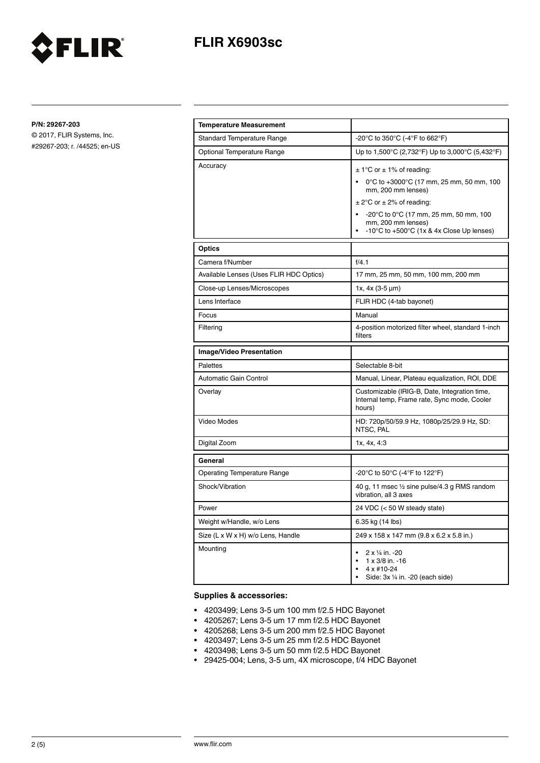

**P/N: 29267-203**

© 2017, FLIR Systems, Inc. #29267-203; r. /44525; en-US

FLIR®

| <b>Temperature Measurement</b>          |                                                                                                                                                                                                                                                                                                |
|-----------------------------------------|------------------------------------------------------------------------------------------------------------------------------------------------------------------------------------------------------------------------------------------------------------------------------------------------|
| <b>Standard Temperature Range</b>       | -20°C to 350°C (-4°F to 662°F)                                                                                                                                                                                                                                                                 |
| Optional Temperature Range              | Up to 1,500°C (2,732°F) Up to 3,000°C (5,432°F)                                                                                                                                                                                                                                                |
| Accuracy                                | $\pm$ 1°C or $\pm$ 1% of reading:<br>0°C to +3000°C (17 mm, 25 mm, 50 mm, 100<br>mm, 200 mm lenses)<br>$\pm$ 2°C or $\pm$ 2% of reading:<br>$-20^{\circ}$ C to 0 $^{\circ}$ C (17 mm, 25 mm, 50 mm, 100<br>mm, 200 mm lenses)<br>-10 $\degree$ C to +500 $\degree$ C (1x & 4x Close Up lenses) |
| <b>Optics</b>                           |                                                                                                                                                                                                                                                                                                |
| Camera f/Number                         | f/4.1                                                                                                                                                                                                                                                                                          |
| Available Lenses (Uses FLIR HDC Optics) | 17 mm, 25 mm, 50 mm, 100 mm, 200 mm                                                                                                                                                                                                                                                            |
| Close-up Lenses/Microscopes             | 1x, $4x$ (3-5 $\mu$ m)                                                                                                                                                                                                                                                                         |
| Lens Interface                          | FLIR HDC (4-tab bayonet)                                                                                                                                                                                                                                                                       |
| Focus                                   | Manual                                                                                                                                                                                                                                                                                         |
| Filtering                               | 4-position motorized filter wheel, standard 1-inch<br>filters                                                                                                                                                                                                                                  |
| Image/Video Presentation                |                                                                                                                                                                                                                                                                                                |
| Palettes                                | Selectable 8-bit                                                                                                                                                                                                                                                                               |
| Automatic Gain Control                  | Manual, Linear, Plateau equalization, ROI, DDE                                                                                                                                                                                                                                                 |
| Overlay                                 | Customizable (IRIG-B, Date, Integration time,<br>Internal temp, Frame rate, Sync mode, Cooler<br>hours)                                                                                                                                                                                        |
| Video Modes                             | HD: 720p/50/59.9 Hz, 1080p/25/29.9 Hz, SD:<br>NTSC, PAL                                                                                                                                                                                                                                        |
| Digital Zoom                            | 1x, 4x, 4:3                                                                                                                                                                                                                                                                                    |
| General                                 |                                                                                                                                                                                                                                                                                                |
| <b>Operating Temperature Range</b>      | -20°C to 50°C (-4°F to 122°F)                                                                                                                                                                                                                                                                  |
| Shock/Vibration                         | 40 g, 11 msec 1/2 sine pulse/4.3 g RMS random<br>vibration, all 3 axes                                                                                                                                                                                                                         |
| Power                                   | 24 VDC (< 50 W steady state)                                                                                                                                                                                                                                                                   |
| Weight w/Handle, w/o Lens               | 6.35 kg (14 lbs)                                                                                                                                                                                                                                                                               |
| Size (L x W x H) w/o Lens, Handle       | 249 x 158 x 147 mm (9.8 x 6.2 x 5.8 in.)                                                                                                                                                                                                                                                       |
| Mounting                                | 2 x 1/4 in. -20<br>$1 \times 3/8$ in. -16<br>4 x #10-24<br>Side: 3x 1/4 in. -20 (each side)                                                                                                                                                                                                    |

## **Supplies & accessories:**

- 4203499; Lens 3-5 um 100 mm f/2.5 HDC Bayonet
- 4205267; Lens 3-5 um 17 mm f/2.5 HDC Bayonet
- 4205268; Lens 3-5 um 200 mm f/2.5 HDC Bayonet
- 4203497; Lens 3-5 um 25 mm f/2.5 HDC Bayonet
- 4203498; Lens 3-5 um 50 mm f/2.5 HDC Bayonet
- 29425-004; Lens, 3-5 um, 4X microscope, f/4 HDC Bayonet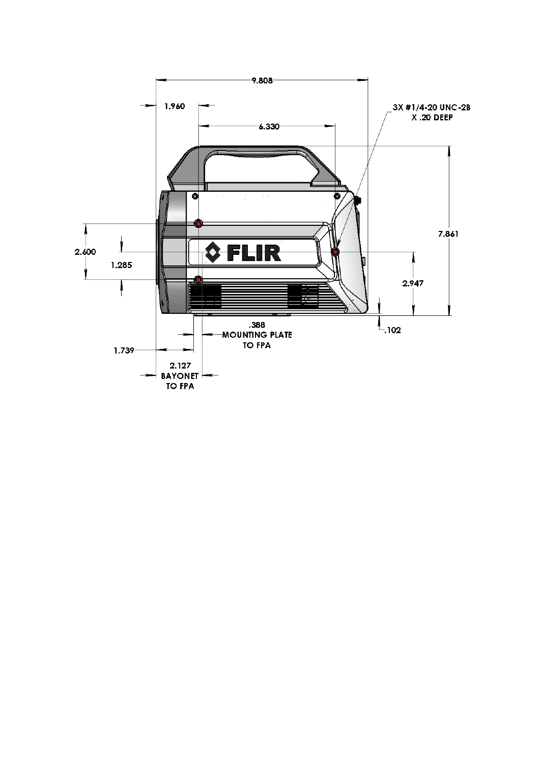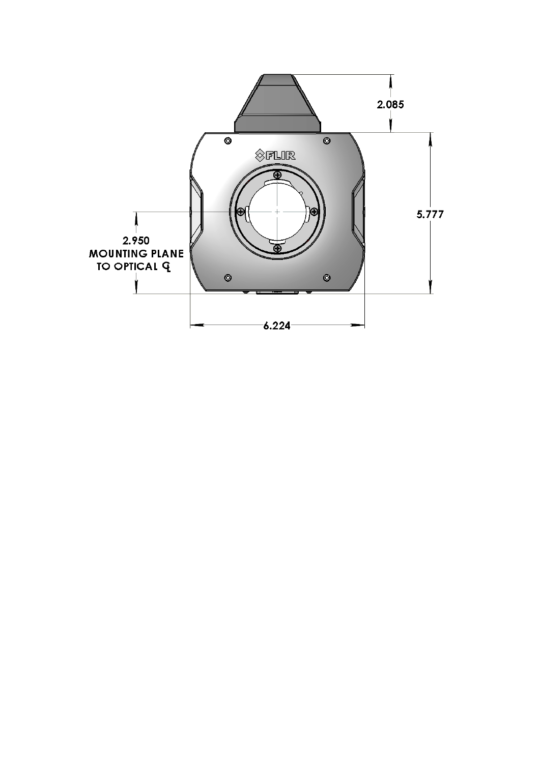